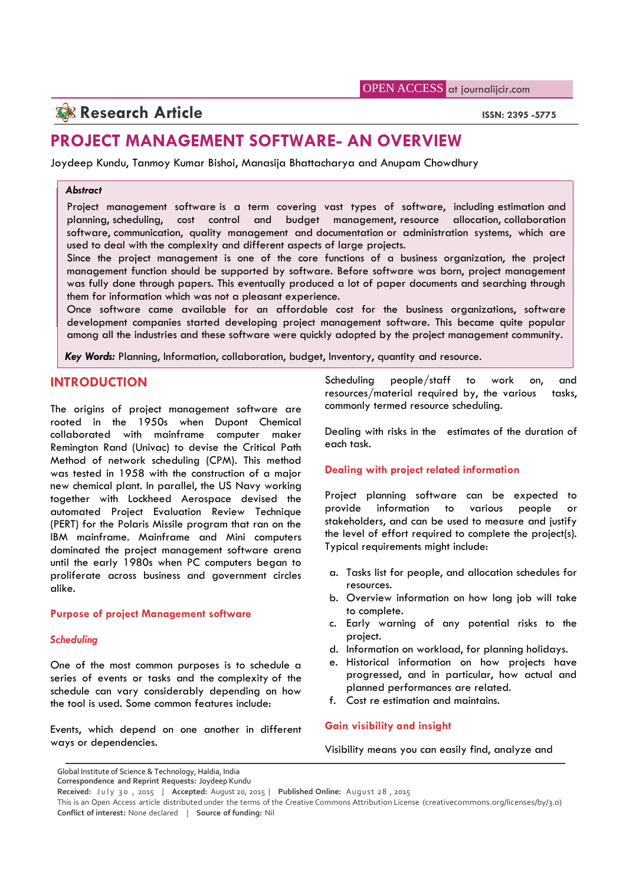# **Research Article ISSN: 2395 -5775**

## **PROJECT MANAGEMENT SOFTWARE- AN OVERVIEW**

Joydeep Kundu, Tanmoy Kumar Bishoi, Manasija Bhattacharya and Anupam Chowdhury

### *Abstract*

Project management software is a term covering vast types of software, including estimation and planning, scheduling, cost control and budget management, resource allocation, collaboration software, communication, quality management and documentation or administration systems, which are used to deal with the complexity and different aspects of large projects.

Since the project management is one of the core functions of a business organization, the project management function should be supported by software. Before software was born, project management was fully done through papers. This eventually produced a lot of paper documents and searching through them for information which was not a pleasant experience.

Once software came available for an affordable cost for the business organizations, software development companies started developing project management software. This became quite popular among all the industries and these software were quickly adopted by the project management community.

*Key Words:* Planning, Information, collaboration, budget, Inventory, quantity and resource.

## **INTRODUCTION**

The origins of project management software are rooted in the 1950s when Dupont Chemical collaborated with mainframe computer maker Remington Rand (Univac) to devise the Critical Path Method of network scheduling (CPM). This method was tested in 1958 with the construction of a major new chemical plant. In parallel, the US Navy working together with Lockheed Aerospace devised the Project<br>quitomated Project Evaluation Review Technique provide automated Project Evaluation Review Technique (PERT) for the Polaris Missile program that ran on the IBM mainframe. Mainframe and Mini computers dominated the project management software arena until the early 1980s when PC computers began to proliferate across business and government circles alike.

### **Purpose of project Management software**

### *Scheduling*

One of the most common purposes is to schedule a series of events or tasks and the complexity of the schedule can vary considerably depending on how the tool is used. Some common features include:

Events, which depend on one another in different ways or dependencies.

Scheduling people/staff to work on, and resources/material required by, the various tasks, commonly termed resource scheduling.

Dealing with risks in the estimates of the duration of each task.

## **Dealing with project related information**

Project planning software can be expected to information to various people or stakeholders, and can be used to measure and justify the level of effort required to complete the project(s). Typical requirements might include:

- a. Tasks list for people, and allocation schedules for resources.
- b. Overview information on how long job will take to complete.
- c. Early warning of any potential risks to the project.
- d. Information on workload, for planning holidays.
- e. Historical information on how projects have progressed, and in particular, how actual and planned performances are related.
- f. Cost re estimation and maintains.

## **Gain visibility and insight**

Visibility means you can easily find, analyze and

Global Institute of Science & Technology, Haldia, India

**Correspondence and Reprint Requests:** Joydeep Kundu

**Received:** July 30, 2015 | Accepted: August 20, 2015 | Published Online: August 28, 2015

This is an Open Access article distributed under the terms of the Creative Commons Attribution License (creativecommons.org/licenses/by/3.0) **Conflict of interest:** None declared | **Source of funding:** Nil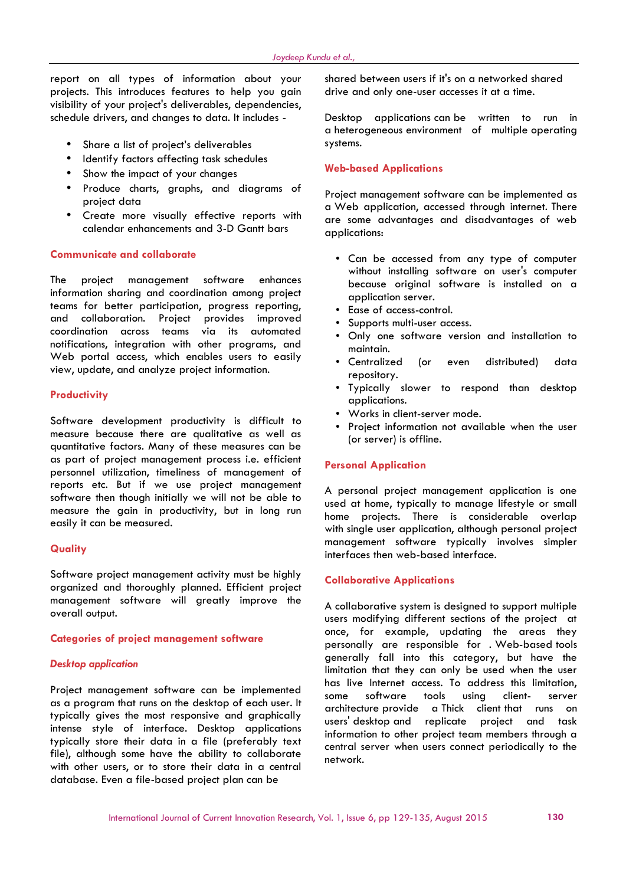report on all types of information about your projects. This introduces features to help you gain visibility of your project's deliverables, dependencies, schedule drivers, and changes to data. It includes -

- Share a list of project's deliverables
- Identify factors affecting task schedules
- Show the impact of your changes
- Produce charts, graphs, and diagrams of project data
- Create more visually effective reports with calendar enhancements and 3-D Gantt bars

#### **Communicate and collaborate**

The project management software enhances information sharing and coordination among project teams for better participation, progress reporting, and collaboration. Project provides improved coordination across teams via its automated notifications, integration with other programs, and Web portal access, which enables users to easily view, update, and analyze project information.

### **Productivity**

Software development productivity is difficult to measure because there are qualitative as well as quantitative factors. Many of these measures can be as part of project management process i.e. efficient personnel utilization, timeliness of management of reports etc. But if we use project management software then though initially we will not be able to measure the gain in productivity, but in long run easily it can be measured.

#### **Quality**

Software project management activity must be highly organized and thoroughly planned. Efficient project management software will greatly improve the overall output.

#### **Categories of project management software**

#### *Desktop application*

Project management software can be implemented as a program that runs on the desktop of each user. It typically gives the most responsive and graphically intense style of interface. Desktop applications typically store their data in a file (preferably text file), although some have the ability to collaborate with other users, or to store their data in a central database. Even a file-based project plan can be

shared between users if it's on a networked shared drive and only one-user accesses it at a time.

Desktop applications can be written to run in a heterogeneous environment of multiple operating systems.

#### **Web-based Applications**

Project management software can be implemented as a Web application, accessed through internet. There are some advantages and disadvantages of web applications:

- Can be accessed from any type of computer without installing software on user's computer because original software is installed on a application server.
- Ease of access-control.
- Supports multi-user access.
- Only one software version and installation to maintain.
- Centralized (or even distributed) data repository.
- Typically slower to respond than desktop applications.
- Works in client-server mode.
- Project information not available when the user (or server) is offline.

#### **Personal Application**

A personal project management application is one used at home, typically to manage lifestyle or small home projects. There is considerable overlap with single user application, although personal project management software typically involves simpler interfaces then web-based interface.

#### **Collaborative Applications**

A collaborative system is designed to support multiple users modifying different sections of the project at once, for example, updating the areas they personally are responsible for . Web-based tools generally fall into this category, but have the limitation that they can only be used when the user has live Internet access. To address this limitation, some software tools using client- server architecture provide a Thick client that runs on users' desktop and replicate project and task information to other project team members through a central server when users connect periodically to the network.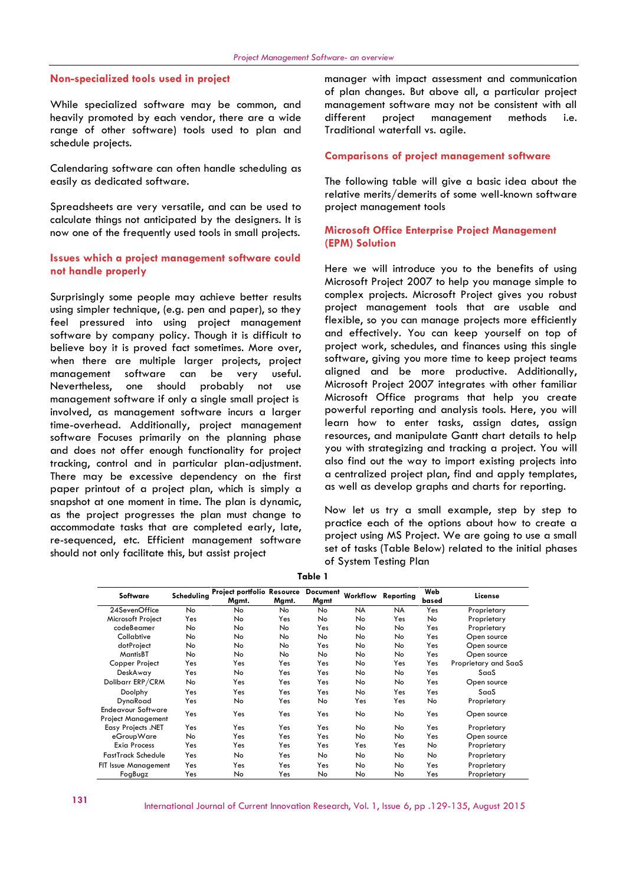#### **Non-specialized tools used in project**

While specialized software may be common, and heavily promoted by each vendor, there are a wide range of other software) tools used to plan and schedule projects.

Calendaring software can often handle scheduling as easily as dedicated software.

Spreadsheets are very versatile, and can be used to calculate things not anticipated by the designers. It is now one of the frequently used tools in small projects.

### **Issues which a project management software could not handle properly**

Surprisingly some people may achieve better results using simpler technique, (e.g. pen and paper), so they feel pressured into using project management software by company policy. Though it is difficult to believe boy it is proved fact sometimes. More over, when there are multiple larger projects, project management software can be very useful. Nevertheless, one should probably not use management software if only a single small project is involved, as management software incurs a larger time-overhead. Additionally, project management software Focuses primarily on the planning phase and does not offer enough functionality for project tracking, control and in particular plan-adjustment. There may be excessive dependency on the first paper printout of a project plan, which is simply a snapshot at one moment in time. The plan is dynamic, as the project progresses the plan must change to accommodate tasks that are completed early, late, re-sequenced, etc. Efficient management software should not only facilitate this, but assist project

manager with impact assessment and communication of plan changes. But above all, a particular project management software may not be consistent with all project management methods i.e. Traditional waterfall vs. agile.

#### **Comparisons of project management software**

The following table will give a basic idea about the relative merits/demerits of some well-known software project management tools

#### **Microsoft Office Enterprise Project Management (EPM) Solution**

Here we will introduce you to the benefits of using Microsoft Project 2007 to help you manage simple to complex projects. Microsoft Project gives you robust project management tools that are usable and flexible, so you can manage projects more efficiently and effectively. You can keep yourself on top of project work, schedules, and finances using this single software, giving you more time to keep project teams aligned and be more productive. Additionally, Microsoft Project 2007 integrates with other familiar Microsoft Office programs that help you create powerful reporting and analysis tools. Here, you will learn how to enter tasks, assign dates, assign resources, and manipulate Gantt chart details to help you with strategizing and tracking a project. You will also find out the way to import existing projects into a centralized project plan, find and apply templates, as well as develop graphs and charts for reporting.

Now let us try a small example, step by step to practice each of the options about how to create a project using MS Project. We are going to use a small set of tasks (Table Below) related to the initial phases of System Testing Plan

| Software                                               | Scheduling | <b>Project portfolio Resource</b><br>Mgmt. | Mgmt.     | <b>Document</b><br>Mgmt | Workflow  | Reporting | Web<br>based | License              |
|--------------------------------------------------------|------------|--------------------------------------------|-----------|-------------------------|-----------|-----------|--------------|----------------------|
| 24SevenOffice                                          | No.        | <b>No</b>                                  | <b>No</b> | No.                     | <b>NA</b> | <b>NA</b> | Yes          | Proprietary          |
| Microsoft Project                                      | Yes        | No.                                        | Yes       | No                      | No        | Yes       | No           | Proprietary          |
| codeBeamer                                             | No         | No.                                        | No        | Yes                     | No        | No        | Yes          | Proprietary          |
| Collabtive                                             | No         | No.                                        | No        | No                      | No        | No        | Yes          | Open source          |
| dotProject                                             | No         | No                                         | No        | Yes                     | No        | No        | Yes          | Open source          |
| MantisBT                                               | No         | No.                                        | No        | No                      | No        | No        | Yes          | Open source          |
| Copper Project                                         | Yes        | Yes                                        | Yes       | Yes                     | No        | Yes       | Yes          | Proprietary and SaaS |
| DeskAway                                               | Yes        | No.                                        | Yes       | Yes                     | No        | No        | Yes          | SaaS                 |
| Dolibarr ERP/CRM                                       | No         | Yes                                        | Yes       | Yes                     | No        | No        | Yes          | Open source          |
| Doolphy                                                | Yes        | Yes                                        | Yes       | Yes                     | No        | Yes       | Yes          | SaaS                 |
| DynaRoad                                               | Yes        | No.                                        | Yes       | No                      | Yes       | Yes       | No           | Proprietary          |
| <b>Endeavour Software</b><br><b>Project Management</b> | Yes        | Yes                                        | Yes       | Yes                     | No        | No        | Yes          | Open source          |
| <b>Easy Projects .NET</b>                              | Yes        | Yes                                        | Yes       | Yes                     | No        | No        | Yes          | Proprietary          |
| eGroupWare                                             | No         | Yes                                        | Yes       | Yes                     | No        | No        | Yes          | Open source          |
| <b>Exig Process</b>                                    | Yes        | Yes                                        | Yes       | Yes                     | Yes       | Yes       | No.          | Proprietary          |
| <b>FastTrack Schedule</b>                              | Yes        | No.                                        | Yes       | No.                     | No        | No        | No.          | Proprietary          |
| FIT Issue Management                                   | Yes        | Yes                                        | Yes       | Yes                     | No        | No        | Yes          | Proprietary          |
| FogBugz                                                | Yes        | No                                         | Yes       | No                      | No        | No        | Yes          | Proprietary          |

**Table 1**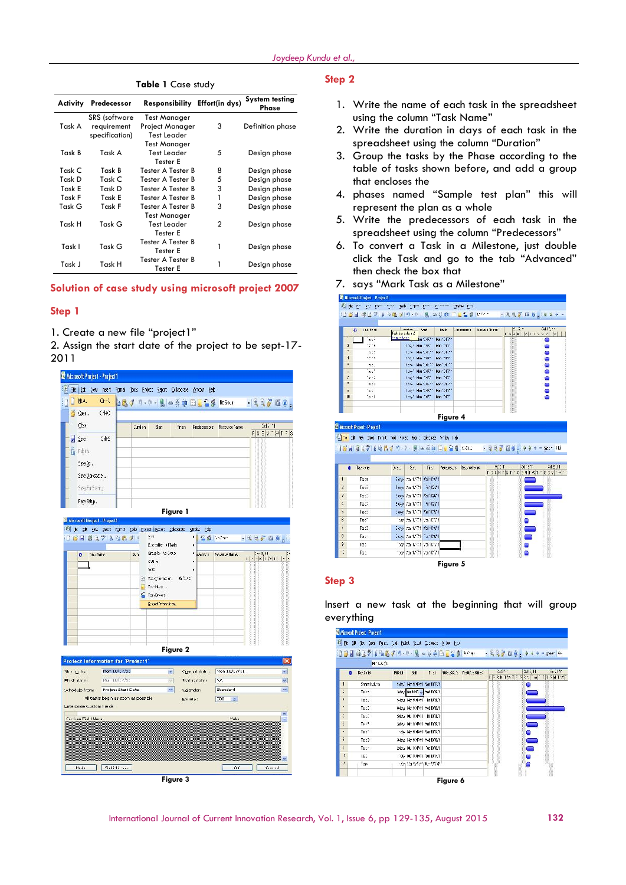| Activity | Predecessor                         | Responsibility Effort(in dys)          |              | <b>System testing</b><br>Phase |
|----------|-------------------------------------|----------------------------------------|--------------|--------------------------------|
| Task A   | <b>SRS</b> (software<br>requirement | <b>Test Manager</b><br>Project Manager | 3            | Definition phase               |
|          | specification)                      | <b>Test Leader</b><br>Test Manager     |              |                                |
| Task B   | Task A                              | Test Leader<br>Tester E                | 5            | Design phase                   |
| Task C   | Task B                              | Tester A Tester B                      | 8            | Design phase                   |
| Task D   | Task C                              | Tester A Tester B                      | 5            | Design phase                   |
| Task E   | Task D                              | Tester A Tester B                      | 3            | Design phase                   |
| Task F   | Task E                              | Tester A Tester B                      | 1            | Design phase                   |
| Task G   | Task F                              | Tester A Tester B                      | 3            | Design phase                   |
|          |                                     | Test Manager                           |              |                                |
| Task H   | Task G                              | Test Leader<br>Tester E                | $\mathbf{2}$ | Design phase                   |
| Task I   | Task G                              | Tester A Tester B<br>Tester E          | 1            | Design phase                   |
| Task J   | Task H                              | Tester A Tester B<br>Tester E          | 1            | Design phase                   |

#### **Table 1** Case study

### **Solution of case study using microsoft project 2007**

### **Step 1**

1. Create a new file "project1"

2. Assign the start date of the project to be sept-17- 2011



## **Step 2**

- 1. Write the name of each task in the spreadsheet using the column "Task Name"
- 2. Write the duration in days of each task in the spreadsheet using the column "Duration"
- 3. Group the tasks by the Phase according to the table of tasks shown before, and add a group that encloses the
- 4. phases named "Sample test plan" this will represent the plan as a whole
- 5. Write the predecessors of each task in the spreadsheet using the column "Predecessors"
- 6. To convert a Task in a Milestone, just double click the Task and go to the tab "Advanced" then check the box that
- 7. says "Mark Task as a Milestone"

|                      | last time.<br>$\mathbf{a}$                                                                                 | Takkers there! |                                             | ford. | Inch.              | $-$ sceness s $s$   | termine terms |      | i salah ing kalendar<br>1. Salah politika Sise (bol)                                                                                                                                |           |
|----------------------|------------------------------------------------------------------------------------------------------------|----------------|---------------------------------------------|-------|--------------------|---------------------|---------------|------|-------------------------------------------------------------------------------------------------------------------------------------------------------------------------------------|-----------|
|                      | ha sh                                                                                                      | Framker.       |                                             |       | Jan 2021, Ban 2021 |                     |               |      |                                                                                                                                                                                     | 0         |
| ž                    | terra.                                                                                                     |                | 1357 Min. 987                               |       | Him Inter          |                     |               |      |                                                                                                                                                                                     | o         |
| ÷                    | 1500                                                                                                       |                | diese Monitories Monitories                 |       |                    |                     |               |      |                                                                                                                                                                                     | О         |
| $\overline{1}$       | tern.                                                                                                      |                | 135-7 Min. 7651                             |       | Mon. INTO          |                     |               |      |                                                                                                                                                                                     | o         |
| $\ddot{\phantom{a}}$ | 55.1                                                                                                       |                | done. Monitorist Monitorist                 |       |                    |                     |               |      |                                                                                                                                                                                     | ۸         |
| ٠<br>ŗ,              | ha b<br>ter.                                                                                               |                | Last Harriotten Harriotten                  |       | Him Inter          |                     |               |      |                                                                                                                                                                                     | ۰         |
| ٠                    | 254.1                                                                                                      |                | 135-7 Mm 7651<br>10th Monitorial Monitorial |       |                    |                     |               |      |                                                                                                                                                                                     | c<br>٥    |
| $\mathbf{r}$         | îт.                                                                                                        |                | Last Harriotten Harriotten                  |       |                    |                     |               |      |                                                                                                                                                                                     | 0         |
| 10                   | ter 1                                                                                                      |                | 1357 Min. 7672                              |       | Him Trim           |                     |               |      |                                                                                                                                                                                     | c         |
|                      |                                                                                                            |                |                                             |       |                    |                     |               |      |                                                                                                                                                                                     |           |
|                      | <b>Ellicrosof: Project - Project 1</b><br>The Life Are, Doen Forsk Took Forsc Eept; Colebrate Sinde, I she |                |                                             |       |                    |                     |               |      |                                                                                                                                                                                     |           |
| $\bullet$            | Taccone                                                                                                    |                | 35.155.                                     | Fig.  |                    | heres, a barreto et |               | 0.14 | 3d13 4th                                                                                                                                                                            | Cd 25, 11 |
|                      |                                                                                                            |                |                                             |       |                    |                     |               |      | $\Gamma_3 \otimes  {\bf H} \uparrow  \gamma_1 \uparrow   \gamma_2 \otimes  {\bf H} \uparrow   \gamma_1^* \uparrow   \gamma_2^* \otimes \gamma_1^* \uparrow   \gamma_1^* \uparrow  $ |           |
|                      | Tage #                                                                                                     |                | Experiment Control (Satisfact)              |       |                    |                     |               |      |                                                                                                                                                                                     |           |
|                      | TageE                                                                                                      |                | Experiment of Watch                         |       |                    |                     |               |      | ÷.                                                                                                                                                                                  |           |
|                      | Tag:1                                                                                                      |                | Exage (to 101711 Abd 102611                 |       |                    |                     |               |      |                                                                                                                                                                                     |           |
|                      | Tage)                                                                                                      |                | Experiment of Watch                         |       |                    |                     |               |      | --                                                                                                                                                                                  |           |
|                      | TageE                                                                                                      |                | Experience of The Control Search            |       |                    |                     |               |      | =                                                                                                                                                                                   |           |
|                      | Tag:7                                                                                                      |                | 11:39: 00:00 TCL 20:00:701                  |       |                    |                     |               |      |                                                                                                                                                                                     |           |
|                      | Top: 3                                                                                                     |                | Skoke Man 00771 Wedn01011                   |       |                    |                     |               |      | ۰                                                                                                                                                                                   |           |
|                      | Top: -                                                                                                     |                | Fath of Fifth and one                       |       |                    |                     |               |      | ⊂                                                                                                                                                                                   |           |
|                      | To:                                                                                                        |                | They is a 10071 is a 10071.                 |       |                    |                     |               |      | o                                                                                                                                                                                   |           |

### **Step 3**

Insert a new task at the beginning that will group everything

|         | If the id the local functions be find that Council 2 by the<br>① 9日 は17 1日広ブリ セ−風 *※前日豆苦ま  ・・ |              |                                  |            |                              |       |      | $-22708 + 100 - 200$                                                                                                                                                                                                                                                                                                                                                                                                          |      |
|---------|-----------------------------------------------------------------------------------------------|--------------|----------------------------------|------------|------------------------------|-------|------|-------------------------------------------------------------------------------------------------------------------------------------------------------------------------------------------------------------------------------------------------------------------------------------------------------------------------------------------------------------------------------------------------------------------------------|------|
|         | Be Lot.                                                                                       |              |                                  |            |                              |       |      |                                                                                                                                                                                                                                                                                                                                                                                                                               |      |
| n       | Tagglerie                                                                                     | <b>Rusia</b> | Shi.                             | $F \geq 1$ | here some in Report of Rends |       | 0:35 | 3d E. H.                                                                                                                                                                                                                                                                                                                                                                                                                      | 0.31 |
| 1       | Smoothslicht                                                                                  |              | 1ds," He f(4741 Sen103721        |            |                              | F     |      | $[5.3] \times [1.5] \times [1.5] \times [1.5] \times [1.5] \times [1.5] \times [1.5] \times [1.5] \times [1.5] \times [1.5] \times [1.5] \times [1.5] \times [1.5] \times [1.5] \times [1.5] \times [1.5] \times [1.5] \times [1.5] \times [1.5] \times [1.5] \times [1.5] \times [1.5] \times [1.5] \times [1.5] \times [1.5] \times [1.5] \times [1.5] \times [1.5] \times [1.5] \times [1.5] \times [1.5] \times [1.$<br>o |      |
| ٠<br>ù. | Type to                                                                                       |              | 3de, 3 Nor 1017, w Chartfiel 911 |            |                              |       |      |                                                                                                                                                                                                                                                                                                                                                                                                                               |      |
| ÷       | Isse:                                                                                         |              | sdays Mondenia Hinduction        |            |                              |       |      |                                                                                                                                                                                                                                                                                                                                                                                                                               |      |
| ÷       | To:1                                                                                          |              | 8dg;: He 104741 (red10361)       |            |                              |       |      |                                                                                                                                                                                                                                                                                                                                                                                                                               |      |
| ÷       | Ter.                                                                                          |              | Sda. Hu 101311 Fil102121         |            |                              |       |      |                                                                                                                                                                                                                                                                                                                                                                                                                               |      |
| ŧ       | Tsty #                                                                                        |              | Sdays, Mic 101711, Weltfield, 1  |            |                              |       |      |                                                                                                                                                                                                                                                                                                                                                                                                                               |      |
| ٠       | Tag?                                                                                          |              | -ds- Horitolidi North1721        |            |                              |       |      | ٠                                                                                                                                                                                                                                                                                                                                                                                                                             |      |
| ٤       | Testis                                                                                        |              | Odays, Hor 104741 (red103301     |            |                              |       |      | ×,                                                                                                                                                                                                                                                                                                                                                                                                                            |      |
| š       | Text <sup>+</sup>                                                                             |              | 2dg. Hu 101911 Tue 1018" 1       |            |                              |       |      | $\blacksquare$                                                                                                                                                                                                                                                                                                                                                                                                                |      |
| ĩ       | is:                                                                                           |              | 1ds- Mondond 1 Sentilly, 1       |            |                              |       |      |                                                                                                                                                                                                                                                                                                                                                                                                                               |      |
| g)      | 7200                                                                                          |              | <b>Starting Second Accounts</b>  |            |                              | come. |      |                                                                                                                                                                                                                                                                                                                                                                                                                               |      |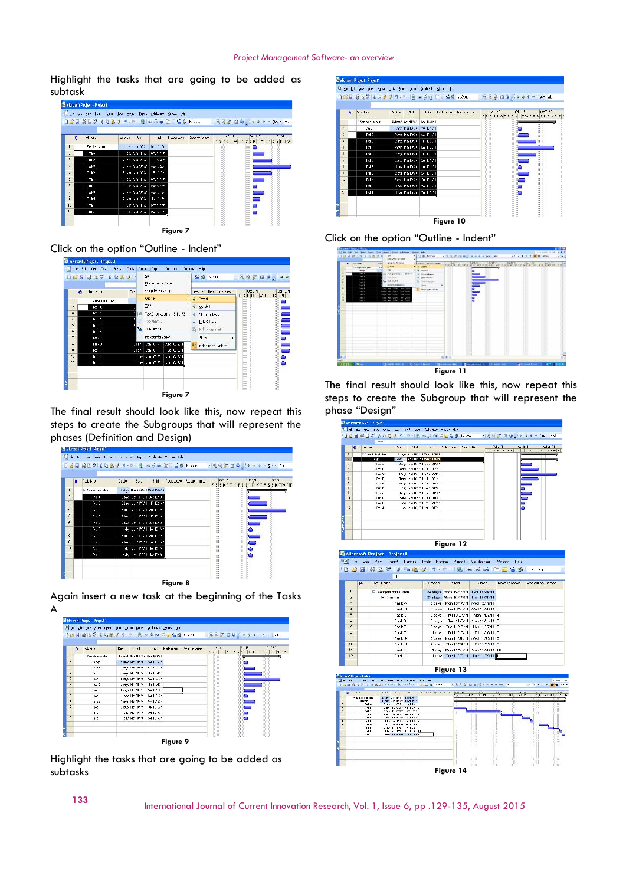Highlight the tasks that are going to be added as subtask

|                          | ○日日 高田学 808メリ ヤ・息 ※あ南 宮川島県 10.4 |        |                      |                            |                   |                                              |               |         |
|--------------------------|---------------------------------|--------|----------------------|----------------------------|-------------------|----------------------------------------------|---------------|---------|
| ۰                        | at ta :                         | $-4.1$ | $\xi_{\lambda}$ .    | Find                       | PERMITTED RANGERS | 296, 1<br>$557 - 9755117$ $\frac{1755}{101}$ | <b>DY 3.1</b> | $(-23)$ |
| ı                        | Sender Engine                   |        | application and at   | March 2d                   |                   |                                              | o             |         |
| č                        | Teks:                           |        | Tites on YE          | day foot                   |                   |                                              |               |         |
| R.                       | sit J                           |        | Core (Manuture)      | 1.6140                     |                   |                                              |               |         |
| ı,                       | $-440$                          |        | Eage Van Ville       | Pet 1691                   |                   |                                              |               |         |
| $\overline{5}$           | Tel 1                           |        | From the last        | あたり                        |                   |                                              |               |         |
| $\overline{\phantom{a}}$ | Tel:                            |        | From the Con-        | Cars for Tel               |                   |                                              | ═             |         |
| r.                       | 3.1                             |        | Teaching the Control | Bennandt,                  |                   |                                              |               |         |
| J                        | $-24.3$                         |        | Designation of the   | Age 2446                   |                   |                                              | ═             |         |
| à                        | Tel H                           |        | Tings and Y N        | Turning and                |                   |                                              | 0             |         |
| E                        | "Yà                             |        | bay on Y E           | March 24                   |                   |                                              | ۰             |         |
| $\overline{1}$           | s:LJ                            |        |                      | Taglitta Statillensizzetti |                   |                                              | ō             | Ï       |

Click on the option "Outline - Indent"



The final result should look like this, now repeat this steps to create the Subgroups that will represent the phases (Definition and Design)

| ۱ô                       | sd bis              | Daviu | Sat.                                | Fid | Produced to Postume Hanger | $\alpha$ . | .347, 44       | 18.31<br>$5.35$ $\mu$ $\sim$ $F$ $5.34$ $\sim$ $\sqrt{1.535}$ $H$ $T_{\rm m}$ $\sim$ $F$ |
|--------------------------|---------------------|-------|-------------------------------------|-----|----------------------------|------------|----------------|------------------------------------------------------------------------------------------|
|                          | Fi Sample test alco |       | Libys Mar (14741 Wed 1376) 1        |     |                            |            |                |                                                                                          |
| ٠                        | 1995                |       | Didas Deville (11 Decident          |     |                            |            |                |                                                                                          |
| J.                       | Is: E               |       | Sday Burnettli, Fritton,            |     |                            |            |                |                                                                                          |
|                          | TOTO C              |       | Sides I bits (CR31 Devidents)       |     |                            |            |                |                                                                                          |
| $\ddot{\circ}$           | Traf.               |       | Sibel Im 0.331 Princip              |     |                            |            |                |                                                                                          |
| 6                        | $195 - L$           |       | Didays, Don't UT - 34, Theodorian 1 |     |                            |            |                |                                                                                          |
| $\mathbf{r}$             | $T_{22}$ : F        |       | de l'Europatti da Diter-            |     |                            |            | ۰              |                                                                                          |
| 8                        | Tra C               |       | ados las mata bentare               |     |                            |            | ═              |                                                                                          |
| a                        | $125 - 1$           |       | 2des Portunali de Lituri            |     |                            |            | $\blacksquare$ |                                                                                          |
| ٠,                       | Tage I              |       | de l'Enriquent de l'abri-           |     |                            |            | ۰              | 0000000000000000000000                                                                   |
| $\overline{\phantom{a}}$ | Terra               |       | nite-light restat dansnitette       |     |                            |            |                |                                                                                          |

Again insert a new task at the beginning of the Tasks A



Highlight the tasks that are going to be added as subtasks



Click on the option "Outline - Indent"



The final result should look like this, now repeat this steps to create the Subgroup that will represent the phase "Design"

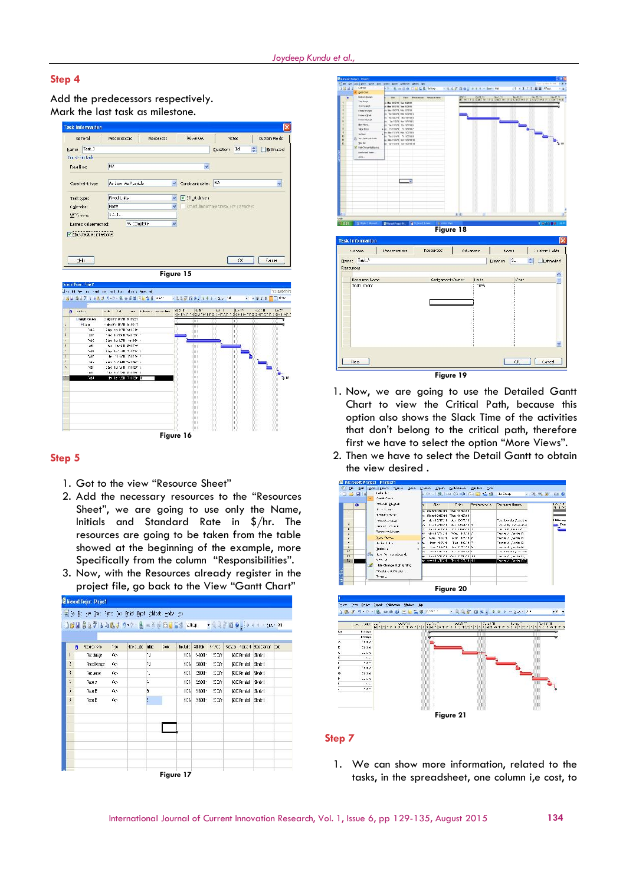### **Step 4**

Add the predecessors respectively. Mark the last task as milestone.

| General                   | Precedents                                                                                          | <b>Resources</b>        | Advanced                     | <b>Nctec</b>                          |   | Custom Fle de                                                                        |
|---------------------------|-----------------------------------------------------------------------------------------------------|-------------------------|------------------------------|---------------------------------------|---|--------------------------------------------------------------------------------------|
| Mare: TaskJ               |                                                                                                     |                         |                              | Euretion: 1d                          | ÷ | Estimated                                                                            |
| Constraintank             |                                                                                                     |                         |                              |                                       |   |                                                                                      |
|                           | N.P                                                                                                 |                         |                              |                                       |   |                                                                                      |
| Dealing                   |                                                                                                     |                         | ×                            |                                       |   |                                                                                      |
| Constraint type           | As Econ As Pussiale                                                                                 | $\mathcal{A}$           | Constraint date:             | N3                                    |   | Y                                                                                    |
| Task type:                | Fived Units                                                                                         | v                       | Effect drive i               |                                       |   |                                                                                      |
| Calendar:                 | None                                                                                                | $\overline{\mathbf{v}}$ |                              | Scheduling Ignores resource calenders |   |                                                                                      |
| WTG mne:                  | 1.1.1.                                                                                              |                         |                              |                                       |   |                                                                                      |
| Earned value method:      | % Complete                                                                                          | $\mathbf{v}$            |                              |                                       |   |                                                                                      |
| U this has as miestons)   |                                                                                                     |                         |                              |                                       |   |                                                                                      |
| 中                         |                                                                                                     | Figure 15               |                              |                                       |   |                                                                                      |
|                           | the full has been small investigated and allows must reli-<br>13日頃10月 1989 19-19-18 の日本日 11228 19-1 |                         | - 3 3 3 国务、 3 4 + - 3  14    |                                       |   |                                                                                      |
| odket.<br>n               | <br>n:<br>10.1                                                                                      | Indown of New Wilson    | NG II<br>$2.3^{\circ}$       | 長手<br>4,725                           |   | 0.34                                                                                 |
| Literature and            | <b>Gias Particide Dedger</b>                                                                        |                         | skinsk inspunjer inposjednic |                                       |   |                                                                                      |
| Fts a                     | <b>SANTA IRAN IL-NELL</b>                                                                           |                         | ŨШ                           | π                                     |   |                                                                                      |
| tat i                     | The conference than                                                                                 |                         | ĴШ                           |                                       |   |                                                                                      |
| $x$ <sub>1</sub>          | 1960 10/13/11 24:129 11                                                                             |                         | ш                            |                                       |   | 1271                                                                                 |
| 740<br>$x+1$              | This be CPII or HOT -<br>No. Two-201 Bar 0150                                                       |                         |                              | ù                                     |   |                                                                                      |
| 748                       | Election of the Telling of                                                                          |                         | 'nн<br>ůн                    | $\mathbf{u}$                          |   |                                                                                      |
| "at f                     | to more number                                                                                      |                         | ÚH I                         | ū                                     |   |                                                                                      |
| nis                       | cites for 2010 for 000 to                                                                           |                         | ûn.                          | 'n.                                   |   |                                                                                      |
| 'atl                      | the hard it in the re-                                                                              |                         | ùп                           | п                                     |   |                                                                                      |
| ыī                        | 16.50.200 to 028.3                                                                                  |                         | ùm<br>ùп                     | п                                     |   |                                                                                      |
| 591                       | to the 2011 heat to fill                                                                            |                         | ÓШ                           | п                                     |   |                                                                                      |
| <b>Amulfings</b> , hojali |                                                                                                     |                         | ĴШ                           | п                                     |   | gragedato hij<br><b>CONFIDENTIAL</b><br>Sister Dentities and the time sister only in |
|                           |                                                                                                     |                         | ùm                           | ü<br>п                                |   |                                                                                      |
|                           |                                                                                                     |                         | úin.<br>ĤШ                   | п                                     |   |                                                                                      |
|                           |                                                                                                     |                         | ĤШ                           | п                                     |   |                                                                                      |
|                           |                                                                                                     |                         | ùm                           |                                       |   |                                                                                      |
|                           |                                                                                                     |                         | ùп<br>úш                     | п                                     |   |                                                                                      |

#### **Step 5**

- 1. Got to the view "Resource Sheet"
- 2. Add the necessary resources to the "Resources Sheet", we are going to use only the Name, Initials and Standard Rate in \$/hr. The resources are going to be taken from the table showed at the beginning of the example, more Specifically from the column "Responsibilities".
- 3. Now, with the Resources already register in the project file, go back to the View "Gantt Chart"





- 1. Now, we are going to use the Detailed Gantt Chart to view the Critical Path, because this option also shows the Slack Time of the activities that don't belong to the critical path, therefore first we have to select the option "More Views".
- 2. Then we have to select the Detail Gantt to obtain the view desired .



#### **Step 7**

1. We can show more information, related to the tasks, in the spreadsheet, one column i,e cost, to